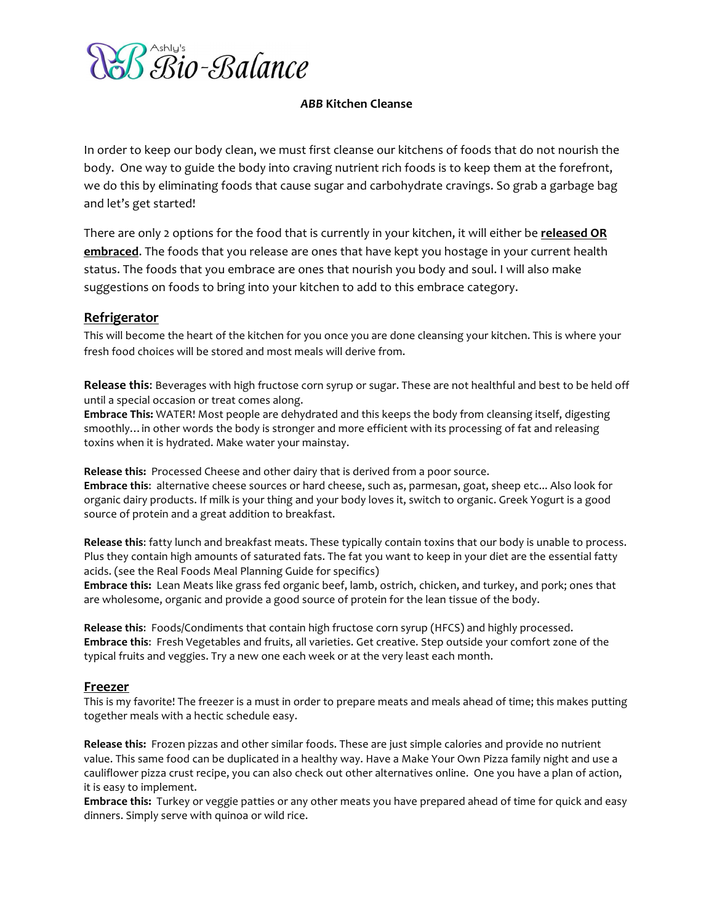

# *ABB#***Kitchen!Cleanse**

In order to keep our body clean, we must first cleanse our kitchens of foods that do not nourish the body. One way to guide the body into craving nutrient rich foods is to keep them at the forefront, we do this by eliminating foods that cause sugar and carbohydrate cravings. So grab a garbage bag and let's get started!

There are only 2 options for the food that is currently in your kitchen, it will either be **released OR embraced.** The foods that you release are ones that have kept you hostage in your current health status. The foods that you embrace are ones that nourish you body and soul. I will also make suggestions on foods to bring into your kitchen to add to this embrace category.

## **Refrigerator**

This will become the heart of the kitchen for you once you are done cleansing your kitchen. This is where your fresh food choices will be stored and most meals will derive from.

Release this: Beverages with high fructose corn syrup or sugar. These are not healthful and best to be held off until a special occasion or treat comes along.

**Embrace This:** WATER! Most people are dehydrated and this keeps the body from cleansing itself, digesting smoothly... in other words the body is stronger and more efficient with its processing of fat and releasing toxins when it is hydrated. Make water your mainstay.

Release this: Processed Cheese and other dairy that is derived from a poor source. Embrace this: alternative cheese sources or hard cheese, such as, parmesan, goat, sheep etc... Also look for organic dairy products. If milk is your thing and your body loves it, switch to organic. Greek Yogurt is a good source of protein and a great addition to breakfast.

Release this: fatty lunch and breakfast meats. These typically contain toxins that our body is unable to process. Plus they contain high amounts of saturated fats. The fat you want to keep in your diet are the essential fatty acids. (see the Real Foods Meal Planning Guide for specifics)

Embrace this: Lean Meats like grass fed organic beef, lamb, ostrich, chicken, and turkey, and pork; ones that are wholesome, organic and provide a good source of protein for the lean tissue of the body.

Release this: Foods/Condiments that contain high fructose corn syrup (HFCS) and highly processed. **Embrace this:** Fresh Vegetables and fruits, all varieties. Get creative. Step outside your comfort zone of the typical fruits and veggies. Try a new one each week or at the very least each month.

## **Freezer**

This is my favorite! The freezer is a must in order to prepare meats and meals ahead of time; this makes putting together meals with a hectic schedule easy.

Release this: Frozen pizzas and other similar foods. These are just simple calories and provide no nutrient value. This same food can be duplicated in a healthy way. Have a Make Your Own Pizza family night and use a cauliflower pizza crust recipe, you can also check out other alternatives online. One you have a plan of action, it is easy to implement.

**Embrace this:** Turkey or veggie patties or any other meats you have prepared ahead of time for quick and easy dinners. Simply serve with quinoa or wild rice.